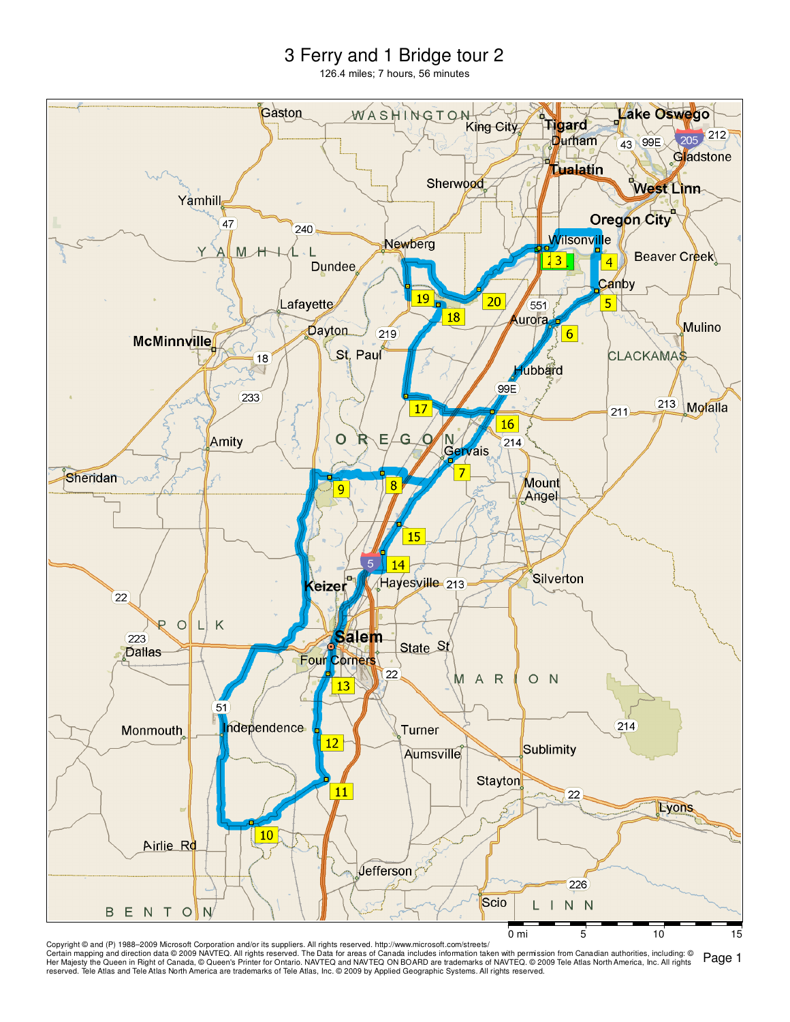## 3 Ferry and 1 Bridge tour 2

126.4 miles; 7 hours, 56 minutes



Page 1 Copyright © and (P) 1988–2009 Microsoft Corporation and/or its suppliers. All rights reserved. http://www.microsoft.com/streets/ Certain mapping and direction data©2009 NAVTEQ. All rights reserved. The Data for areas of Canada includes information taken with permission from Canadian authorities, including: ©<br>Her Majesty the Queen in Right of Canada, reserved. Tele Atlas and Tele Atlas North America are trademarks of Tele Atlas, Inc. © 2009 by Applied Geographic Systems. All rights reserved.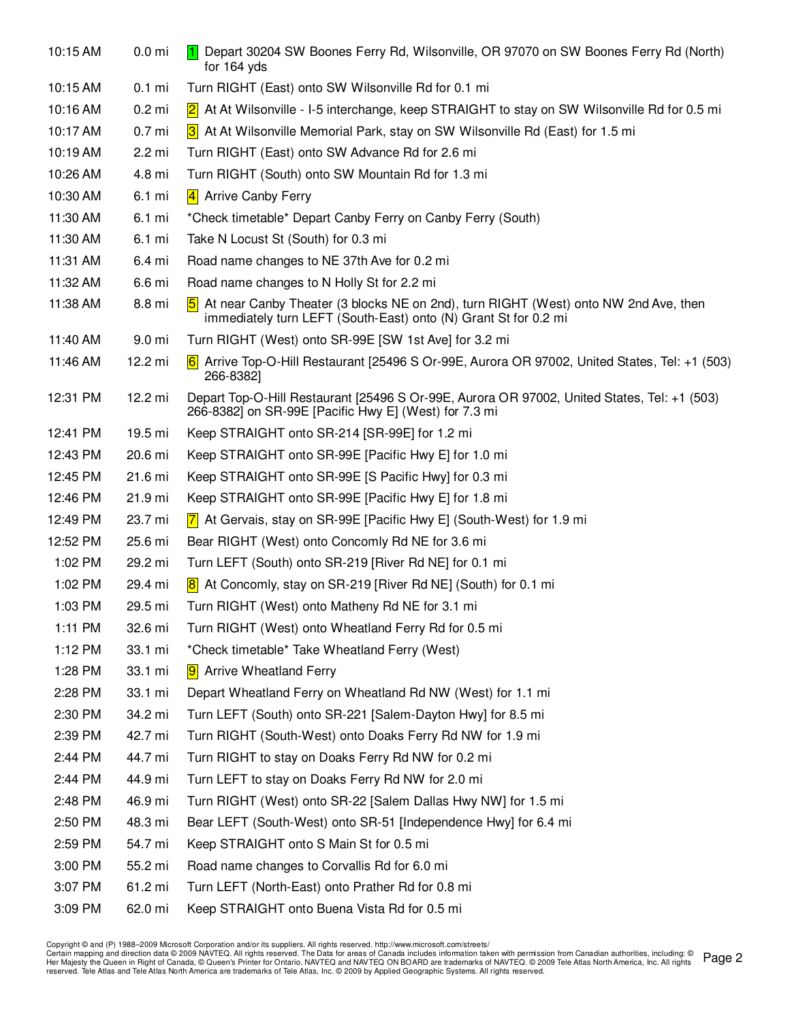| 10:15 AM | 0.0 <sub>mi</sub> | Depart 30204 SW Boones Ferry Rd, Wilsonville, OR 97070 on SW Boones Ferry Rd (North)<br>for 164 yds                                                                       |
|----------|-------------------|---------------------------------------------------------------------------------------------------------------------------------------------------------------------------|
| 10:15 AM | $0.1$ mi          | Turn RIGHT (East) onto SW Wilsonville Rd for 0.1 mi                                                                                                                       |
| 10:16 AM | $0.2$ mi          | At At Wilsonville - I-5 interchange, keep STRAIGHT to stay on SW Wilsonville Rd for 0.5 mi<br>$\vert$ 2 $\vert$                                                           |
| 10:17 AM | 0.7 <sub>mi</sub> | 3 At At Wilsonville Memorial Park, stay on SW Wilsonville Rd (East) for 1.5 mi                                                                                            |
| 10:19 AM | 2.2 mi            | Turn RIGHT (East) onto SW Advance Rd for 2.6 mi                                                                                                                           |
| 10:26 AM | 4.8 mi            | Turn RIGHT (South) onto SW Mountain Rd for 1.3 mi                                                                                                                         |
| 10:30 AM | 6.1 mi            | 4 Arrive Canby Ferry                                                                                                                                                      |
| 11:30 AM | 6.1 mi            | *Check timetable* Depart Canby Ferry on Canby Ferry (South)                                                                                                               |
| 11:30 AM | 6.1 mi            | Take N Locust St (South) for 0.3 mi                                                                                                                                       |
| 11:31 AM | 6.4 mi            | Road name changes to NE 37th Ave for 0.2 mi                                                                                                                               |
| 11:32 AM | 6.6 mi            | Road name changes to N Holly St for 2.2 mi                                                                                                                                |
| 11:38 AM | 8.8 mi            | At near Canby Theater (3 blocks NE on 2nd), turn RIGHT (West) onto NW 2nd Ave, then<br>$\vert 5 \vert$<br>immediately turn LEFT (South-East) onto (N) Grant St for 0.2 mi |
| 11:40 AM | 9.0 mi            | Turn RIGHT (West) onto SR-99E [SW 1st Ave] for 3.2 mi                                                                                                                     |
| 11:46 AM | 12.2 mi           | Arrive Top-O-Hill Restaurant [25496 S Or-99E, Aurora OR 97002, United States, Tel: +1 (503)<br>266-8382]                                                                  |
| 12:31 PM | 12.2 mi           | Depart Top-O-Hill Restaurant [25496 S Or-99E, Aurora OR 97002, United States, Tel: +1 (503)<br>266-8382] on SR-99E [Pacific Hwy E] (West) for 7.3 mi                      |
| 12:41 PM | 19.5 mi           | Keep STRAIGHT onto SR-214 [SR-99E] for 1.2 mi                                                                                                                             |
| 12:43 PM | 20.6 mi           | Keep STRAIGHT onto SR-99E [Pacific Hwy E] for 1.0 mi                                                                                                                      |
| 12:45 PM | 21.6 mi           | Keep STRAIGHT onto SR-99E [S Pacific Hwy] for 0.3 mi                                                                                                                      |
| 12:46 PM | 21.9 mi           | Keep STRAIGHT onto SR-99E [Pacific Hwy E] for 1.8 mi                                                                                                                      |
| 12:49 PM | 23.7 mi           | $\overline{7}$ At Gervais, stay on SR-99E [Pacific Hwy E] (South-West) for 1.9 mi                                                                                         |
| 12:52 PM | 25.6 mi           | Bear RIGHT (West) onto Concomly Rd NE for 3.6 mi                                                                                                                          |
| 1:02 PM  | 29.2 mi           | Turn LEFT (South) onto SR-219 [River Rd NE] for 0.1 mi                                                                                                                    |
| 1:02 PM  | 29.4 mi           | At Concomly, stay on SR-219 [River Rd NE] (South) for 0.1 mi<br> 8                                                                                                        |
| 1:03 PM  | 29.5 mi           | Turn RIGHT (West) onto Matheny Rd NE for 3.1 mi                                                                                                                           |
| 1:11 PM  | 32.6 mi           | Turn RIGHT (West) onto Wheatland Ferry Rd for 0.5 mi                                                                                                                      |
| 1:12 PM  | 33.1 mi           | *Check timetable* Take Wheatland Ferry (West)                                                                                                                             |
| 1:28 PM  | 33.1 mi           | <b>9</b> Arrive Wheatland Ferry                                                                                                                                           |
| 2:28 PM  | 33.1 mi           | Depart Wheatland Ferry on Wheatland Rd NW (West) for 1.1 mi                                                                                                               |
| 2:30 PM  | 34.2 mi           | Turn LEFT (South) onto SR-221 [Salem-Dayton Hwy] for 8.5 mi                                                                                                               |
| 2:39 PM  | 42.7 mi           | Turn RIGHT (South-West) onto Doaks Ferry Rd NW for 1.9 mi                                                                                                                 |
| 2:44 PM  | 44.7 mi           | Turn RIGHT to stay on Doaks Ferry Rd NW for 0.2 mi                                                                                                                        |
| 2:44 PM  | 44.9 mi           | Turn LEFT to stay on Doaks Ferry Rd NW for 2.0 mi                                                                                                                         |
| 2:48 PM  | 46.9 mi           | Turn RIGHT (West) onto SR-22 [Salem Dallas Hwy NW] for 1.5 mi                                                                                                             |
| 2:50 PM  | 48.3 mi           | Bear LEFT (South-West) onto SR-51 [Independence Hwy] for 6.4 mi                                                                                                           |
| 2:59 PM  | 54.7 mi           | Keep STRAIGHT onto S Main St for 0.5 mi                                                                                                                                   |
| 3:00 PM  | 55.2 mi           | Road name changes to Corvallis Rd for 6.0 mi                                                                                                                              |
| 3:07 PM  | 61.2 mi           | Turn LEFT (North-East) onto Prather Rd for 0.8 mi                                                                                                                         |
| 3:09 PM  | 62.0 mi           | Keep STRAIGHT onto Buena Vista Rd for 0.5 mi                                                                                                                              |

Page 2 Copyright © and (P) 1988–2009 Microsoft Corporation and/or its suppliers. All rights reserved. http://www.microsoft.com/streets/<br>Certain mapping and direction data © 2009 NAVTEQ. All rights reserved. The Data for areas of